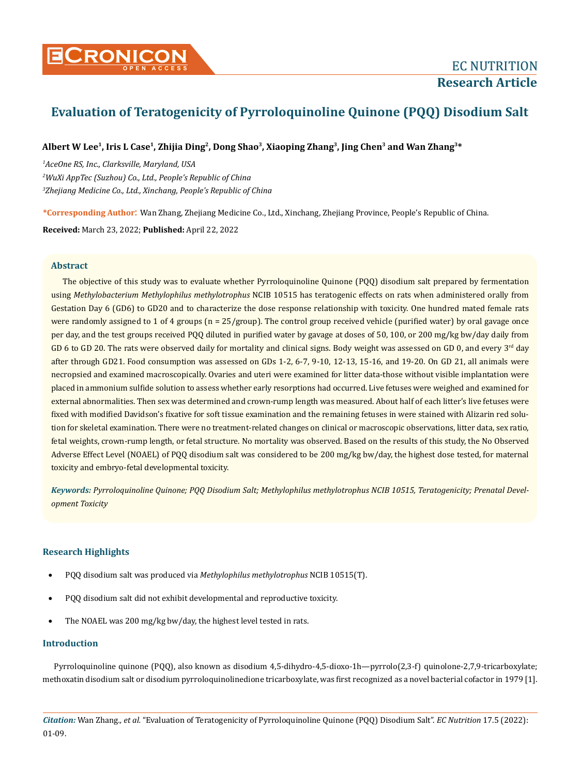# **Evaluation of Teratogenicity of Pyrroloquinoline Quinone (PQQ) Disodium Salt**

# **Albert W Lee1, Iris L Case1, Zhijia Ding2, Dong Shao3, Xiaoping Zhang3, Jing Chen3 and Wan Zhang3\***

*1 AceOne RS, Inc., Clarksville, Maryland, USA 2 WuXi AppTec (Suzhou) Co., Ltd., People's Republic of China 3 Zhejiang Medicine Co., Ltd., Xinchang, People's Republic of China*

**\*Corresponding Author**: Wan Zhang, Zhejiang Medicine Co., Ltd., Xinchang, Zhejiang Province, People's Republic of China.

**Received:** March 23, 2022; **Published:** April 22, 2022

# **Abstract**

The objective of this study was to evaluate whether Pyrroloquinoline Quinone (PQQ) disodium salt prepared by fermentation using *Methylobacterium Methylophilus methylotrophus* NCIB 10515 has teratogenic effects on rats when administered orally from Gestation Day 6 (GD6) to GD20 and to characterize the dose response relationship with toxicity. One hundred mated female rats were randomly assigned to 1 of 4 groups ( $n = 25/$ group). The control group received vehicle (purified water) by oral gavage once per day, and the test groups received PQQ diluted in purified water by gavage at doses of 50, 100, or 200 mg/kg bw/day daily from GD 6 to GD 20. The rats were observed daily for mortality and clinical signs. Body weight was assessed on GD 0, and every  $3<sup>rd</sup>$  day after through GD21. Food consumption was assessed on GDs 1-2, 6-7, 9-10, 12-13, 15-16, and 19-20. On GD 21, all animals were necropsied and examined macroscopically. Ovaries and uteri were examined for litter data-those without visible implantation were placed in ammonium sulfide solution to assess whether early resorptions had occurred. Live fetuses were weighed and examined for external abnormalities. Then sex was determined and crown-rump length was measured. About half of each litter's live fetuses were fixed with modified Davidson's fixative for soft tissue examination and the remaining fetuses in were stained with Alizarin red solution for skeletal examination. There were no treatment-related changes on clinical or macroscopic observations, litter data, sex ratio, fetal weights, crown-rump length, or fetal structure. No mortality was observed. Based on the results of this study, the No Observed Adverse Effect Level (NOAEL) of PQQ disodium salt was considered to be 200 mg/kg bw/day, the highest dose tested, for maternal toxicity and embryo-fetal developmental toxicity.

*Keywords: Pyrroloquinoline Quinone; PQQ Disodium Salt; Methylophilus methylotrophus NCIB 10515, Teratogenicity; Prenatal Development Toxicity*

# **Research Highlights**

- PQQ disodium salt was produced via *Methylophilus methylotrophus* NCIB 10515(T).
- PQQ disodium salt did not exhibit developmental and reproductive toxicity.
- The NOAEL was 200 mg/kg bw/day, the highest level tested in rats.

# **Introduction**

Pyrroloquinoline quinone (PQQ), also known as disodium 4,5-dihydro-4,5-dioxo-1h—pyrrolo(2,3-f) quinolone-2,7,9-tricarboxylate; methoxatin disodium salt or disodium pyrroloquinolinedione tricarboxylate, was first recognized as a novel bacterial cofactor in 1979 [1].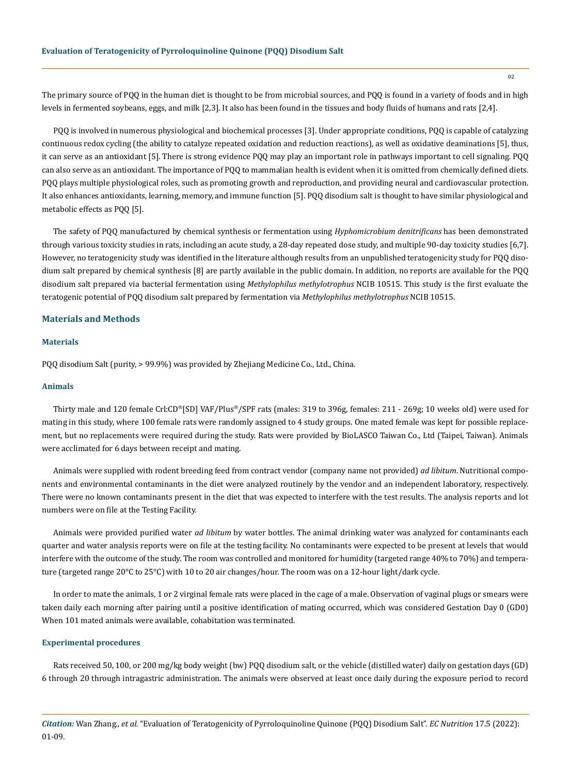The primary source of PQQ in the human diet is thought to be from microbial sources, and PQQ is found in a variety of foods and in high levels in fermented soybeans, eggs, and milk [2,3]. It also has been found in the tissues and body fluids of humans and rats [2,4].

PQQ is involved in numerous physiological and biochemical processes [3]. Under appropriate conditions, PQQ is capable of catalyzing continuous redox cycling (the ability to catalyze repeated oxidation and reduction reactions), as well as oxidative deaminations [5], thus, it can serve as an antioxidant [5]. There is strong evidence PQQ may play an important role in pathways important to cell signaling. PQQ can also serve as an antioxidant. The importance of PQQ to mammalian health is evident when it is omitted from chemically defined diets. PQQ plays multiple physiological roles, such as promoting growth and reproduction, and providing neural and cardiovascular protection. It also enhances antioxidants, learning, memory, and immune function [5]. PQQ disodium salt is thought to have similar physiological and metabolic effects as PQQ [5].

The safety of PQQ manufactured by chemical synthesis or fermentation using *Hyphomicrobium denitrificans* has been demonstrated through various toxicity studies in rats, including an acute study, a 28-day repeated dose study, and multiple 90-day toxicity studies [6,7]. However, no teratogenicity study was identified in the literature although results from an unpublished teratogenicity study for PQQ disodium salt prepared by chemical synthesis [8] are partly available in the public domain. In addition, no reports are available for the PQQ disodium salt prepared via bacterial fermentation using *Methylophilus methylotrophus* NCIB 10515. This study is the first evaluate the teratogenic potential of PQQ disodium salt prepared by fermentation via *Methylophilus methylotrophus* NCIB 10515.

#### **Materials and Methods**

## **Materials**

PQQ disodium Salt (purity, > 99.9%) was provided by Zhejiang Medicine Co., Ltd., China.

#### **Animals**

Thirty male and 120 female Crl:CD®[SD] VAF/Plus®/SPF rats (males: 319 to 396g, females: 211 - 269g; 10 weeks old) were used for mating in this study, where 100 female rats were randomly assigned to 4 study groups. One mated female was kept for possible replacement, but no replacements were required during the study. Rats were provided by BioLASCO Taiwan Co., Ltd (Taipei, Taiwan). Animals were acclimated for 6 days between receipt and mating.

Animals were supplied with rodent breeding feed from contract vendor (company name not provided) *ad libitum*. Nutritional components and environmental contaminants in the diet were analyzed routinely by the vendor and an independent laboratory, respectively. There were no known contaminants present in the diet that was expected to interfere with the test results. The analysis reports and lot numbers were on file at the Testing Facility.

Animals were provided purified water *ad libitum* by water bottles. The animal drinking water was analyzed for contaminants each quarter and water analysis reports were on file at the testing facility. No contaminants were expected to be present at levels that would interfere with the outcome of the study. The room was controlled and monitored for humidity (targeted range 40% to 70%) and temperature (targeted range 20°C to 25°C) with 10 to 20 air changes/hour. The room was on a 12-hour light/dark cycle.

In order to mate the animals, 1 or 2 virginal female rats were placed in the cage of a male. Observation of vaginal plugs or smears were taken daily each morning after pairing until a positive identification of mating occurred, which was considered Gestation Day 0 (GD0) When 101 mated animals were available, cohabitation was terminated.

## **Experimental procedures**

Rats received 50, 100, or 200 mg/kg body weight (bw) PQQ disodium salt, or the vehicle (distilled water) daily on gestation days (GD) 6 through 20 through intragastric administration. The animals were observed at least once daily during the exposure period to record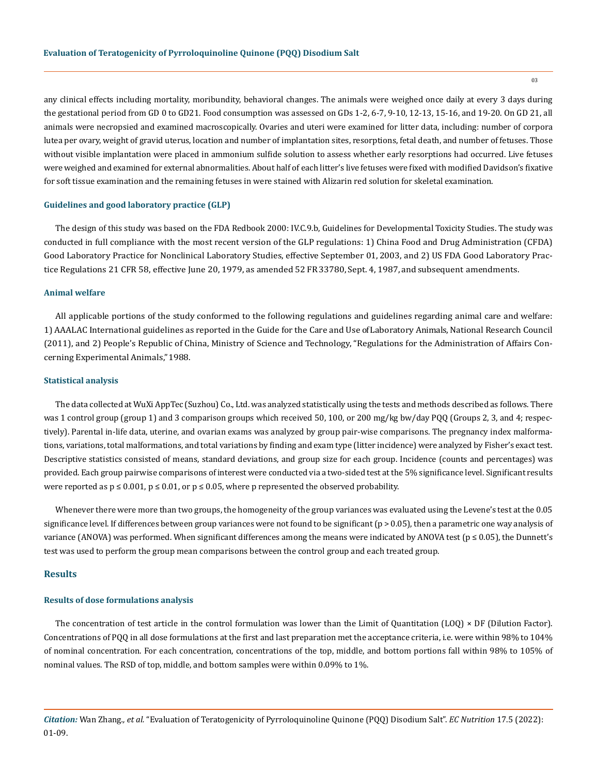any clinical effects including mortality, moribundity, behavioral changes. The animals were weighed once daily at every 3 days during the gestational period from GD 0 to GD21. Food consumption was assessed on GDs 1-2, 6-7, 9-10, 12-13, 15-16, and 19-20. On GD 21, all animals were necropsied and examined macroscopically. Ovaries and uteri were examined for litter data, including: number of corpora lutea per ovary, weight of gravid uterus, location and number of implantation sites, resorptions, fetal death, and number of fetuses. Those without visible implantation were placed in ammonium sulfide solution to assess whether early resorptions had occurred. Live fetuses were weighed and examined for external abnormalities. About half of each litter's live fetuses were fixed with modified Davidson's fixative for soft tissue examination and the remaining fetuses in were stained with Alizarin red solution for skeletal examination.

#### **Guidelines and good laboratory practice (GLP)**

The design of this study was based on the FDA Redbook 2000: IV.C.9.b, Guidelines for Developmental Toxicity Studies. The study was conducted in full compliance with the most recent version of the GLP regulations: 1) China Food and Drug Administration (CFDA) Good Laboratory Practice for Nonclinical Laboratory Studies, effective September 01, 2003, and 2) US FDA Good Laboratory Practice Regulations 21 CFR 58, effective June 20, 1979, as amended 52 FR 33780, Sept. 4, 1987, and subsequent amendments.

#### **Animal welfare**

All applicable portions of the study conformed to the following regulations and guidelines regarding animal care and welfare: 1) AAALAC International guidelines as reported in the Guide for the Care and Use of Laboratory Animals, National Research Council (2011), and 2) People's Republic of China, Ministry of Science and Technology, "Regulations for the Administration of Affairs Concerning Experimental Animals," 1988.

#### **Statistical analysis**

The data collected at WuXi AppTec (Suzhou) Co., Ltd. was analyzed statistically using the tests and methods described as follows. There was 1 control group (group 1) and 3 comparison groups which received 50, 100, or 200 mg/kg bw/day PQQ (Groups 2, 3, and 4; respectively). Parental in-life data, uterine, and ovarian exams was analyzed by group pair-wise comparisons. The pregnancy index malformations, variations, total malformations, and total variations by finding and exam type (litter incidence) were analyzed by Fisher's exact test. Descriptive statistics consisted of means, standard deviations, and group size for each group. Incidence (counts and percentages) was provided. Each group pairwise comparisons of interest were conducted via a two-sided test at the 5% significance level. Significant results were reported as  $p \le 0.001$ ,  $p \le 0.01$ , or  $p \le 0.05$ , where p represented the observed probability.

Whenever there were more than two groups, the homogeneity of the group variances was evaluated using the Levene's test at the 0.05 significance level. If differences between group variances were not found to be significant (p > 0.05), then a parametric one way analysis of variance (ANOVA) was performed. When significant differences among the means were indicated by ANOVA test ( $p \le 0.05$ ), the Dunnett's test was used to perform the group mean comparisons between the control group and each treated group.

#### **Results**

#### **Results of dose formulations analysis**

The concentration of test article in the control formulation was lower than the Limit of Quantitation (LOQ) × DF (Dilution Factor). Concentrations of PQQ in all dose formulations at the first and last preparation met the acceptance criteria, i.e. were within 98% to 104% of nominal concentration. For each concentration, concentrations of the top, middle, and bottom portions fall within 98% to 105% of nominal values. The RSD of top, middle, and bottom samples were within 0.09% to 1%.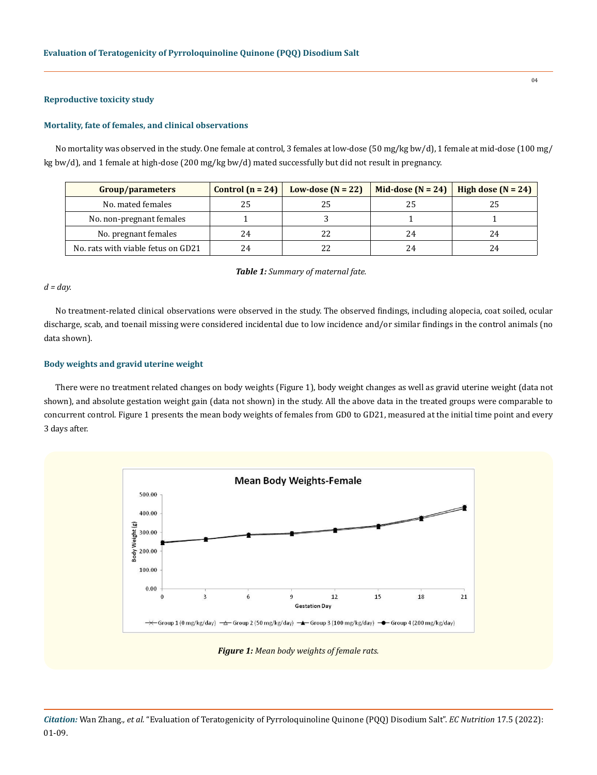## **Reproductive toxicity study**

#### **Mortality, fate of females, and clinical observations**

No mortality was observed in the study. One female at control, 3 females at low-dose (50 mg/kg bw/d), 1 female at mid-dose (100 mg/ kg bw/d), and 1 female at high-dose (200 mg/kg bw/d) mated successfully but did not result in pregnancy.

| Group/parameters                   | Control $(n = 24)$ | Low-dose $(N = 22)$ | Mid-dose $(N = 24)$ | High dose $(N = 24)$ |
|------------------------------------|--------------------|---------------------|---------------------|----------------------|
| No. mated females                  | 25                 |                     |                     | 25                   |
| No. non-pregnant females           |                    |                     |                     |                      |
| No. pregnant females               | 24                 |                     | 24                  | 24                   |
| No. rats with viable fetus on GD21 | 24                 |                     | 24                  | 24                   |

*Table 1: Summary of maternal fate.*

## *d = day.*

No treatment-related clinical observations were observed in the study. The observed findings, including alopecia, coat soiled, ocular discharge, scab, and toenail missing were considered incidental due to low incidence and/or similar findings in the control animals (no data shown).

## **Body weights and gravid uterine weight**

There were no treatment related changes on body weights (Figure 1), body weight changes as well as gravid uterine weight (data not shown), and absolute gestation weight gain (data not shown) in the study. All the above data in the treated groups were comparable to concurrent control. Figure 1 presents the mean body weights of females from GD0 to GD21, measured at the initial time point and every 3 days after.



*Figure 1: Mean body weights of female rats.*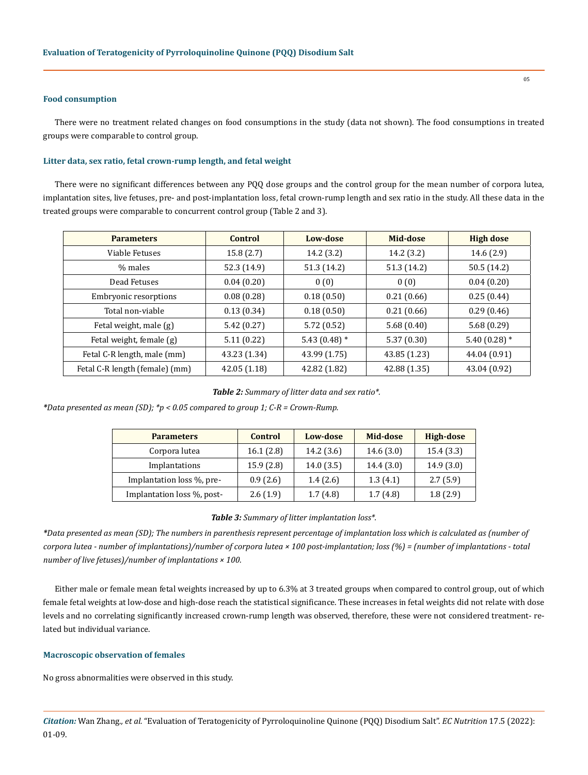#### **Food consumption**

There were no treatment related changes on food consumptions in the study (data not shown). The food consumptions in treated groups were comparable to control group.

## **Litter data, sex ratio, fetal crown-rump length, and fetal weight**

There were no significant differences between any PQQ dose groups and the control group for the mean number of corpora lutea, implantation sites, live fetuses, pre- and post-implantation loss, fetal crown-rump length and sex ratio in the study. All these data in the treated groups were comparable to concurrent control group (Table 2 and 3).

| <b>Parameters</b>              | <b>Control</b> | Low-dose        | Mid-dose     | <b>High dose</b> |
|--------------------------------|----------------|-----------------|--------------|------------------|
| Viable Fetuses                 | 15.8(2.7)      | 14.2 (3.2)      | 14.2 (3.2)   | 14.6 (2.9)       |
| % males                        | 52.3 (14.9)    | 51.3 (14.2)     | 51.3 (14.2)  | 50.5 (14.2)      |
| Dead Fetuses                   | 0.04(0.20)     | 0(0)            | 0(0)         | 0.04(0.20)       |
| Embryonic resorptions          | 0.08(0.28)     | 0.18(0.50)      | 0.21(0.66)   | 0.25(0.44)       |
| Total non-viable               | 0.13(0.34)     | 0.18(0.50)      | 0.21(0.66)   | 0.29(0.46)       |
| Fetal weight, male (g)         | 5.42 (0.27)    | 5.72(0.52)      | 5.68(0.40)   | 5.68(0.29)       |
| Fetal weight, female (g)       | 5.11(0.22)     | 5.43 $(0.48)$ * | 5.37(0.30)   | 5.40 $(0.28)$ *  |
| Fetal C-R length, male (mm)    | 43.23 (1.34)   | 43.99 (1.75)    | 43.85 (1.23) | 44.04 (0.91)     |
| Fetal C-R length (female) (mm) | 42.05(1.18)    | 42.82 (1.82)    | 42.88 (1.35) | 43.04 (0.92)     |

*Table 2: Summary of litter data and sex ratio\*.*

*\*Data presented as mean (SD); \*p < 0.05 compared to group 1; C-R = Crown-Rump.*

| <b>Parameters</b>          | Control   | Low-dose  | Mid-dose  | High-dose |
|----------------------------|-----------|-----------|-----------|-----------|
| Corpora lutea              | 16.1(2.8) | 14.2(3.6) | 14.6(3.0) | 15.4(3.3) |
| Implantations              | 15.9(2.8) | 14.0(3.5) | 14.4(3.0) | 14.9(3.0) |
| Implantation loss %, pre-  | 0.9(2.6)  | 1.4(2.6)  | 1.3(4.1)  | 2.7(5.9)  |
| Implantation loss %, post- | 2.6(1.9)  | 1.7(4.8)  | 1.7(4.8)  | 1.8(2.9)  |

*Table 3: Summary of litter implantation loss\*.*

*\*Data presented as mean (SD); The numbers in parenthesis represent percentage of implantation loss which is calculated as (number of corpora lutea - number of implantations)/number of corpora lutea × 100 post-implantation; loss (%) = (number of implantations - total number of live fetuses)/number of implantations × 100.*

Either male or female mean fetal weights increased by up to 6.3% at 3 treated groups when compared to control group, out of which female fetal weights at low-dose and high-dose reach the statistical significance. These increases in fetal weights did not relate with dose levels and no correlating significantly increased crown-rump length was observed, therefore, these were not considered treatment- related but individual variance.

#### **Macroscopic observation of females**

No gross abnormalities were observed in this study.

*Citation:* Wan Zhang*., et al.* "Evaluation of Teratogenicity of Pyrroloquinoline Quinone (PQQ) Disodium Salt". *EC Nutrition* 17.5 (2022): 01-09.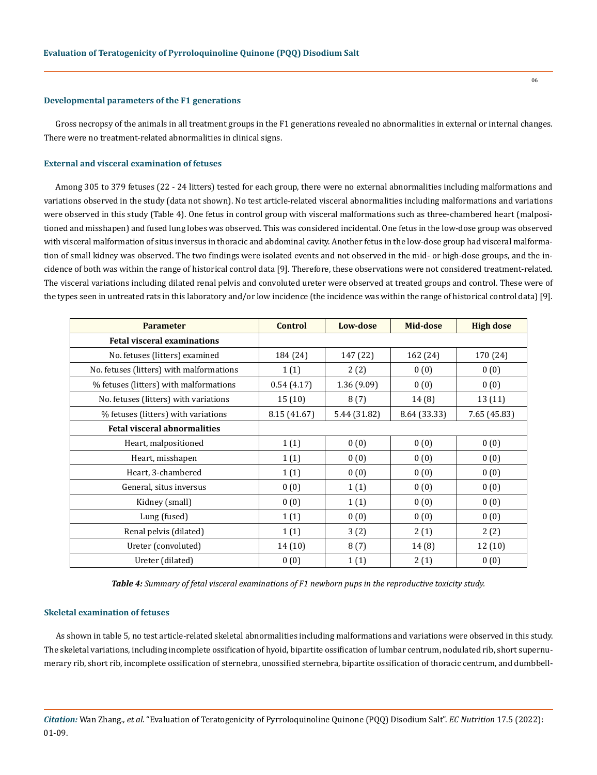#### **Developmental parameters of the F1 generations**

Gross necropsy of the animals in all treatment groups in the F1 generations revealed no abnormalities in external or internal changes. There were no treatment-related abnormalities in clinical signs.

#### **External and visceral examination of fetuses**

Among 305 to 379 fetuses (22 - 24 litters) tested for each group, there were no external abnormalities including malformations and variations observed in the study (data not shown). No test article-related visceral abnormalities including malformations and variations were observed in this study (Table 4). One fetus in control group with visceral malformations such as three-chambered heart (malpositioned and misshapen) and fused lung lobes was observed. This was considered incidental. One fetus in the low-dose group was observed with visceral malformation of situs inversus in thoracic and abdominal cavity. Another fetus in the low-dose group had visceral malformation of small kidney was observed. The two findings were isolated events and not observed in the mid- or high-dose groups, and the incidence of both was within the range of historical control data [9]. Therefore, these observations were not considered treatment-related. The visceral variations including dilated renal pelvis and convoluted ureter were observed at treated groups and control. These were of the types seen in untreated rats in this laboratory and/or low incidence (the incidence was within the range of historical control data) [9].

| <b>Parameter</b>                         | <b>Control</b> | Low-dose     | Mid-dose     | <b>High dose</b> |
|------------------------------------------|----------------|--------------|--------------|------------------|
| <b>Fetal visceral examinations</b>       |                |              |              |                  |
| No. fetuses (litters) examined           | 184 (24)       | 147 (22)     | 162 (24)     | 170 (24)         |
| No. fetuses (litters) with malformations | 1(1)           | 2(2)         | 0(0)         | 0(0)             |
| % fetuses (litters) with malformations   | 0.54(4.17)     | 1.36 (9.09)  | 0(0)         | 0(0)             |
| No. fetuses (litters) with variations    | 15(10)         | 8(7)         | 14 (8)       | 13 (11)          |
| % fetuses (litters) with variations      | 8.15 (41.67)   | 5.44 (31.82) | 8.64 (33.33) | 7.65 (45.83)     |
| <b>Fetal visceral abnormalities</b>      |                |              |              |                  |
| Heart, malpositioned                     | 1(1)           | 0(0)         | 0(0)         | 0(0)             |
| Heart, misshapen                         | 1(1)           | 0(0)         | 0(0)         | 0(0)             |
| Heart, 3-chambered                       | 1(1)           | 0(0)         | 0(0)         | 0(0)             |
| General, situs inversus                  | 0(0)           | 1(1)         | 0(0)         | 0(0)             |
| Kidney (small)                           | 0(0)           | 1(1)         | 0(0)         | 0(0)             |
| Lung (fused)                             | 1(1)           | 0(0)         | 0(0)         | 0(0)             |
| Renal pelvis (dilated)                   | 1(1)           | 3(2)         | 2(1)         | 2(2)             |
| Ureter (convoluted)                      | 14(10)         | 8(7)         | 14(8)        | 12(10)           |
| Ureter (dilated)                         | 0(0)           | 1(1)         | 2(1)         | 0(0)             |

*Table 4: Summary of fetal visceral examinations of F1 newborn pups in the reproductive toxicity study.*

## **Skeletal examination of fetuses**

As shown in table 5, no test article-related skeletal abnormalities including malformations and variations were observed in this study. The skeletal variations, including incomplete ossification of hyoid, bipartite ossification of lumbar centrum, nodulated rib, short supernumerary rib, short rib, incomplete ossification of sternebra, unossified sternebra, bipartite ossification of thoracic centrum, and dumbbell-

*Citation:* Wan Zhang*., et al.* "Evaluation of Teratogenicity of Pyrroloquinoline Quinone (PQQ) Disodium Salt". *EC Nutrition* 17.5 (2022): 01-09.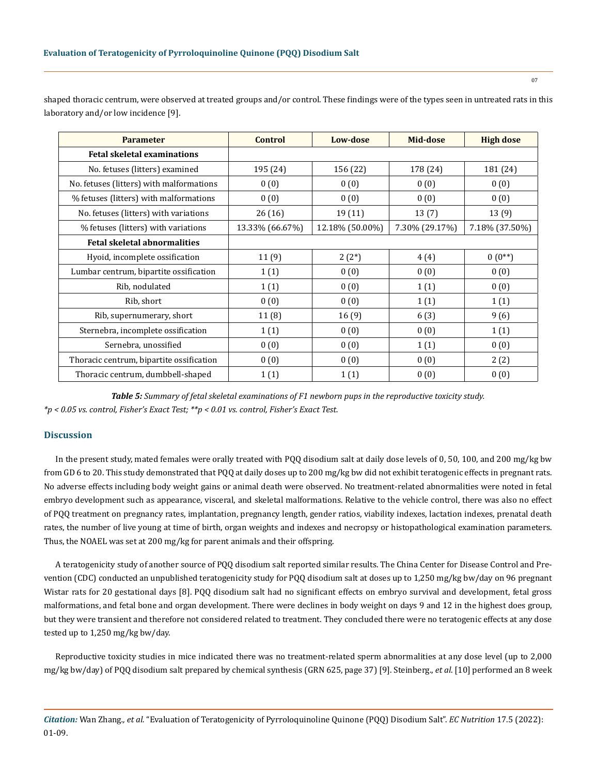| <b>Parameter</b>                         | <b>Control</b>  | Low-dose        | Mid-dose       | <b>High dose</b> |
|------------------------------------------|-----------------|-----------------|----------------|------------------|
| <b>Fetal skeletal examinations</b>       |                 |                 |                |                  |
| No. fetuses (litters) examined           | 195 (24)        | 156 (22)        | 178 (24)       | 181 (24)         |
| No. fetuses (litters) with malformations | 0(0)            | 0(0)            | 0(0)           | 0(0)             |
| % fetuses (litters) with malformations   | 0(0)            | 0(0)            | 0(0)           | 0(0)             |
| No. fetuses (litters) with variations    | 26 (16)         | 19 (11)         | 13(7)          | 13(9)            |
| % fetuses (litters) with variations      | 13.33% (66.67%) | 12.18% (50.00%) | 7.30% (29.17%) | 7.18% (37.50%)   |
| <b>Fetal skeletal abnormalities</b>      |                 |                 |                |                  |
| Hyoid, incomplete ossification           | 11(9)           | $2(2^*)$        | 4(4)           | $0(0^{**})$      |
| Lumbar centrum, bipartite ossification   | 1(1)            | 0(0)            | 0(0)           | 0(0)             |
| Rib, nodulated                           | 1(1)            | 0(0)            | 1(1)           | 0(0)             |
| Rib, short                               | 0(0)            | 0(0)            | 1(1)           | 1(1)             |
| Rib, supernumerary, short                | 11(8)           | 16(9)           | 6(3)           | 9(6)             |
| Sternebra, incomplete ossification       | 1(1)            | 0(0)            | 0(0)           | 1(1)             |
| Sernebra, unossified                     | 0(0)            | 0(0)            | 1(1)           | 0(0)             |
| Thoracic centrum, bipartite ossification | 0(0)            | 0(0)            | 0(0)           | 2(2)             |
| Thoracic centrum, dumbbell-shaped        | 1(1)            | 1(1)            | 0(0)           | 0(0)             |

shaped thoracic centrum, were observed at treated groups and/or control. These findings were of the types seen in untreated rats in this laboratory and/or low incidence [9].

*Table 5: Summary of fetal skeletal examinations of F1 newborn pups in the reproductive toxicity study. \*p < 0.05 vs. control, Fisher's Exact Test; \*\*p < 0.01 vs. control, Fisher's Exact Test.*

# **Discussion**

In the present study, mated females were orally treated with PQQ disodium salt at daily dose levels of 0, 50, 100, and 200 mg/kg bw from GD 6 to 20. This study demonstrated that PQQ at daily doses up to 200 mg/kg bw did not exhibit teratogenic effects in pregnant rats. No adverse effects including body weight gains or animal death were observed. No treatment-related abnormalities were noted in fetal embryo development such as appearance, visceral, and skeletal malformations. Relative to the vehicle control, there was also no effect of PQQ treatment on pregnancy rates, implantation, pregnancy length, gender ratios, viability indexes, lactation indexes, prenatal death rates, the number of live young at time of birth, organ weights and indexes and necropsy or histopathological examination parameters. Thus, the NOAEL was set at 200 mg/kg for parent animals and their offspring.

A teratogenicity study of another source of PQQ disodium salt reported similar results. The China Center for Disease Control and Prevention (CDC) conducted an unpublished teratogenicity study for PQQ disodium salt at doses up to 1,250 mg/kg bw/day on 96 pregnant Wistar rats for 20 gestational days [8]. PQQ disodium salt had no significant effects on embryo survival and development, fetal gross malformations, and fetal bone and organ development. There were declines in body weight on days 9 and 12 in the highest does group, but they were transient and therefore not considered related to treatment. They concluded there were no teratogenic effects at any dose tested up to 1,250 mg/kg bw/day.

Reproductive toxicity studies in mice indicated there was no treatment-related sperm abnormalities at any dose level (up to 2,000 mg/kg bw/day) of PQQ disodium salt prepared by chemical synthesis (GRN 625, page 37) [9]. Steinberg., *et al*. [10] performed an 8 week

*Citation:* Wan Zhang*., et al.* "Evaluation of Teratogenicity of Pyrroloquinoline Quinone (PQQ) Disodium Salt". *EC Nutrition* 17.5 (2022): 01-09.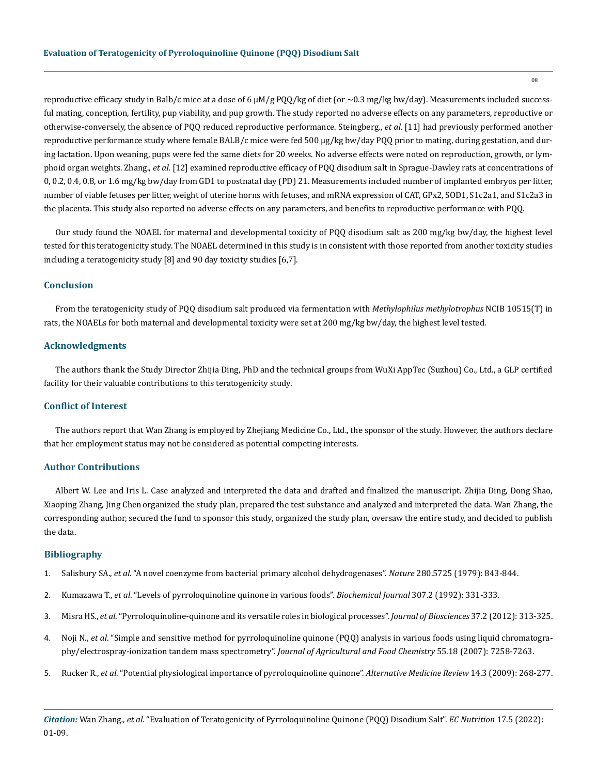reproductive efficacy study in Balb/c mice at a dose of 6 µM/g PQQ/kg of diet (or ~0.3 mg/kg bw/day). Measurements included successful mating, conception, fertility, pup viability, and pup growth. The study reported no adverse effects on any parameters, reproductive or otherwise-conversely, the absence of PQQ reduced reproductive performance. Steingberg., *et al*. [11] had previously performed another reproductive performance study where female BALB/c mice were fed 500 µg/kg bw/day PQQ prior to mating, during gestation, and during lactation. Upon weaning, pups were fed the same diets for 20 weeks. No adverse effects were noted on reproduction, growth, or lymphoid organ weights. Zhang., *et al*. [12] examined reproductive efficacy of PQQ disodium salt in Sprague-Dawley rats at concentrations of 0, 0.2, 0.4, 0.8, or 1.6 mg/kg bw/day from GD1 to postnatal day (PD) 21. Measurements included number of implanted embryos per litter, number of viable fetuses per litter, weight of uterine horns with fetuses, and mRNA expression of CAT, GPx2, SOD1, S1c2a1, and S1c2a3 in the placenta. This study also reported no adverse effects on any parameters, and benefits to reproductive performance with PQQ.

Our study found the NOAEL for maternal and developmental toxicity of PQQ disodium salt as 200 mg/kg bw/day, the highest level tested for this teratogenicity study. The NOAEL determined in this study is in consistent with those reported from another toxicity studies including a teratogenicity study [8] and 90 day toxicity studies [6,7].

### **Conclusion**

From the teratogenicity study of PQQ disodium salt produced via fermentation with *Methylophilus methylotrophus* NCIB 10515(T) in rats, the NOAELs for both maternal and developmental toxicity were set at 200 mg/kg bw/day, the highest level tested.

#### **Acknowledgments**

The authors thank the Study Director Zhijia Ding, PhD and the technical groups from WuXi AppTec (Suzhou) Co., Ltd., a GLP certified facility for their valuable contributions to this teratogenicity study.

#### **Conflict of Interest**

The authors report that Wan Zhang is employed by Zhejiang Medicine Co., Ltd., the sponsor of the study. However, the authors declare that her employment status may not be considered as potential competing interests.

#### **Author Contributions**

Albert W. Lee and Iris L. Case analyzed and interpreted the data and drafted and finalized the manuscript. Zhijia Ding, Dong Shao, Xiaoping Zhang, Jing Chen organized the study plan, prepared the test substance and analyzed and interpreted the data. Wan Zhang, the corresponding author, secured the fund to sponsor this study, organized the study plan, oversaw the entire study, and decided to publish the data.

## **Bibliography**

- 1. Salisbury SA., *et al*[. "A novel coenzyme from bacterial primary alcohol dehydrogenases".](https://pubmed.ncbi.nlm.nih.gov/471057/) *Nature* 280.5725 (1979): 843-844.
- 2. Kumazawa T., *et al*[. "Levels of pyrroloquinoline quinone in various foods".](https://pubmed.ncbi.nlm.nih.gov/7733865/) *Biochemical Journal* 307.2 (1992): 331-333.
- 3. Misra HS., *et al*[. "Pyrroloquinoline-quinone and its versatile roles in biological processes".](https://pubmed.ncbi.nlm.nih.gov/22581337/) *Journal of Biosciences* 37.2 (2012): 313-325.
- 4. Noji N., *et al*[. "Simple and sensitive method for pyrroloquinoline quinone \(PQQ\) analysis in various foods using liquid chromatogra](https://pubs.acs.org/doi/10.1021/jf070483r)[phy/electrospray-ionization tandem mass spectrometry".](https://pubs.acs.org/doi/10.1021/jf070483r) *Journal of Agricultural and Food Chemistry* 55.18 (2007): 7258-7263.
- 5. Rucker R., *et al*[. "Potential physiological importance of pyrroloquinoline quinone".](https://pubmed.ncbi.nlm.nih.gov/19803551/) *Alternative Medicine Review* 14.3 (2009): 268-277.